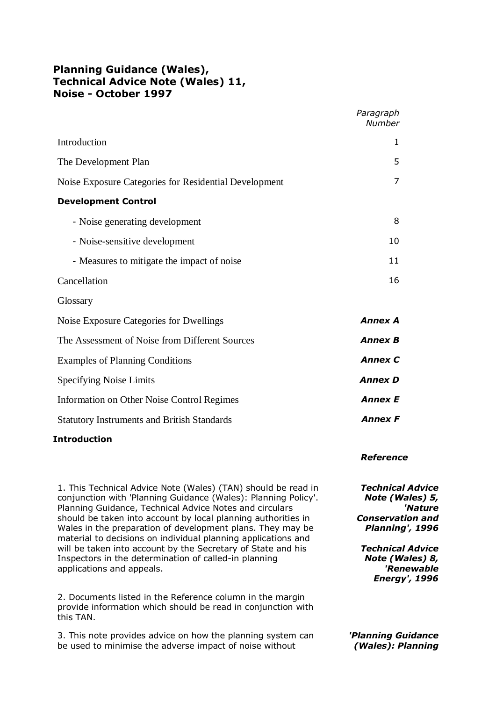|                                                       | Paragraph<br><b>Number</b> |
|-------------------------------------------------------|----------------------------|
| Introduction                                          | 1                          |
| The Development Plan                                  | 5                          |
| Noise Exposure Categories for Residential Development | 7                          |
| <b>Development Control</b>                            |                            |
| - Noise generating development                        | 8                          |
| - Noise-sensitive development                         | 10                         |
| - Measures to mitigate the impact of noise            | 11                         |
| Cancellation                                          | 16                         |
| Glossary                                              |                            |
| Noise Exposure Categories for Dwellings               | <b>Annex A</b>             |
| The Assessment of Noise from Different Sources        | <b>Annex B</b>             |
| <b>Examples of Planning Conditions</b>                | <b>Annex C</b>             |
| Specifying Noise Limits                               | <b>Annex D</b>             |
|                                                       |                            |

Information on Other Noise Control Regimes *Annex E* Statutory Instruments and British Standards *Annex F*

## **Introduction**

1. This Technical Advice Note (Wales) (TAN) should be read in conjunction with 'Planning Guidance (Wales): Planning Policy'. Planning Guidance, Technical Advice Notes and circulars should be taken into account by local planning authorities in Wales in the preparation of development plans. They may be material to decisions on individual planning applications and will be taken into account by the Secretary of State and his Inspectors in the determination of called-in planning applications and appeals.

2. Documents listed in the Reference column in the margin provide information which should be read in conjunction with this TAN.

3. This note provides advice on how the planning system can be used to minimise the adverse impact of noise without

#### *Reference*

*Technical Advice Note (Wales) 5, 'Nature Conservation and Planning', 1996*

*Technical Advice Note (Wales) 8, 'Renewable Energy', 1996*

*'Planning Guidance (Wales): Planning*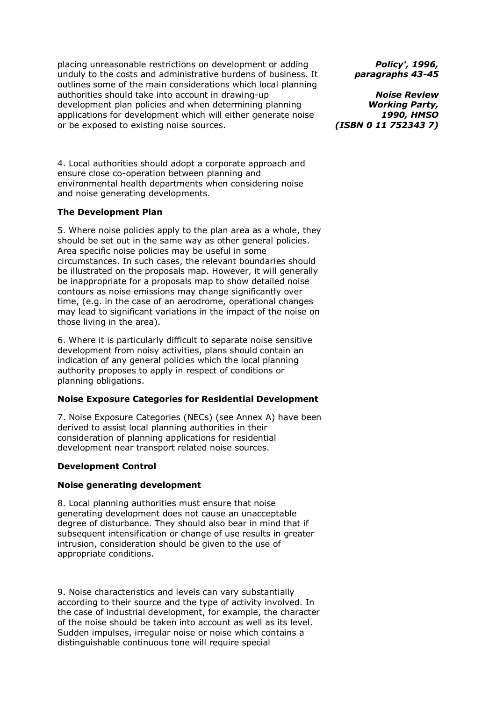placing unreasonable restrictions on development or adding unduly to the costs and administrative burdens of business. It outlines some of the main considerations which local planning authorities should take into account in drawing-up development plan policies and when determining planning applications for development which will either generate noise or be exposed to existing noise sources.

4. Local authorities should adopt a corporate approach and ensure close co-operation between planning and environmental health departments when considering noise and noise generating developments.

#### **The Development Plan**

5. Where noise policies apply to the plan area as a whole, they should be set out in the same way as other general policies. Area specific noise policies may be useful in some circumstances. In such cases, the relevant boundaries should be illustrated on the proposals map. However, it will generally be inappropriate for a proposals map to show detailed noise contours as noise emissions may change significantly over time, (e.g. in the case of an aerodrome, operational changes may lead to significant variations in the impact of the noise on those living in the area).

6. Where it is particularly difficult to separate noise sensitive development from noisy activities, plans should contain an indication of any general policies which the local planning authority proposes to apply in respect of conditions or planning obligations.

## **Noise Exposure Categories for Residential Development**

7. Noise Exposure Categories (NECs) (see Annex A) have been derived to assist local planning authorities in their consideration of planning applications for residential development near transport related noise sources.

## **Development Control**

## **Noise generating development**

8. Local planning authorities must ensure that noise generating development does not cause an unacceptable degree of disturbance. They should also bear in mind that if subsequent intensification or change of use results in greater intrusion, consideration should be given to the use of appropriate conditions.

9. Noise characteristics and levels can vary substantially according to their source and the type of activity involved. In the case of industrial development, for example, the character of the noise should be taken into account as well as its level. Sudden impulses, irregular noise or noise which contains a distinguishable continuous tone will require special

*Policy', 1996, paragraphs 43-45*

*Noise Review Working Party, 1990, HMSO (ISBN 0 11 752343 7)*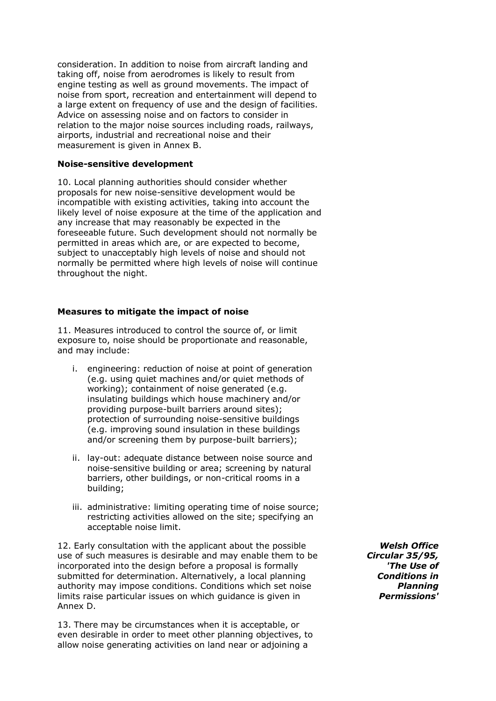consideration. In addition to noise from aircraft landing and taking off, noise from aerodromes is likely to result from engine testing as well as ground movements. The impact of noise from sport, recreation and entertainment will depend to a large extent on frequency of use and the design of facilities. Advice on assessing noise and on factors to consider in relation to the major noise sources including roads, railways, airports, industrial and recreational noise and their measurement is given in Annex B.

#### **Noise-sensitive development**

10. Local planning authorities should consider whether proposals for new noise-sensitive development would be incompatible with existing activities, taking into account the likely level of noise exposure at the time of the application and any increase that may reasonably be expected in the foreseeable future. Such development should not normally be permitted in areas which are, or are expected to become, subject to unacceptably high levels of noise and should not normally be permitted where high levels of noise will continue throughout the night.

#### **Measures to mitigate the impact of noise**

11. Measures introduced to control the source of, or limit exposure to, noise should be proportionate and reasonable, and may include:

- i. engineering: reduction of noise at point of generation (e.g. using quiet machines and/or quiet methods of working); containment of noise generated (e.g. insulating buildings which house machinery and/or providing purpose-built barriers around sites); protection of surrounding noise-sensitive buildings (e.g. improving sound insulation in these buildings and/or screening them by purpose-built barriers);
- ii. lay-out: adequate distance between noise source and noise-sensitive building or area; screening by natural barriers, other buildings, or non-critical rooms in a building;
- iii. administrative: limiting operating time of noise source; restricting activities allowed on the site; specifying an acceptable noise limit.

12. Early consultation with the applicant about the possible use of such measures is desirable and may enable them to be incorporated into the design before a proposal is formally submitted for determination. Alternatively, a local planning authority may impose conditions. Conditions which set noise limits raise particular issues on which guidance is given in Annex D.

13. There may be circumstances when it is acceptable, or even desirable in order to meet other planning objectives, to allow noise generating activities on land near or adjoining a

*Welsh Office Circular 35/95, 'The Use of Conditions in Planning Permissions'*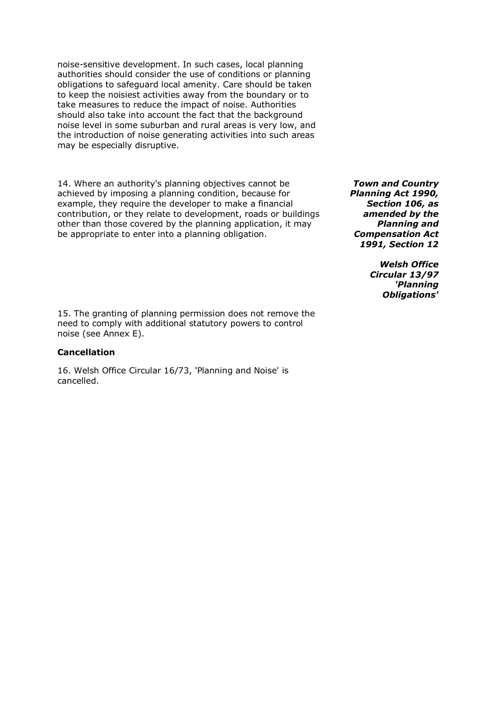noise-sensitive development. In such cases, local planning authorities should consider the use of conditions or planning obligations to safeguard local amenity. Care should be taken to keep the noisiest activities away from the boundary or to take measures to reduce the impact of noise. Authorities should also take into account the fact that the background noise level in some suburban and rural areas is very low, and the introduction of noise generating activities into such areas may be especially disruptive.

14. Where an authority's planning objectives cannot be achieved by imposing a planning condition, because for example, they require the developer to make a financial contribution, or they relate to development, roads or buildings other than those covered by the planning application, it may be appropriate to enter into a planning obligation.

*Town and Country Planning Act 1990, Section 106, as amended by the Planning and Compensation Act 1991, Section 12*

> *Welsh Office Circular 13/97 'Planning Obligations'*

15. The granting of planning permission does not remove the need to comply with additional statutory powers to control noise (see Annex E).

#### **Cancellation**

16. Welsh Office Circular 16/73, 'Planning and Noise' is cancelled.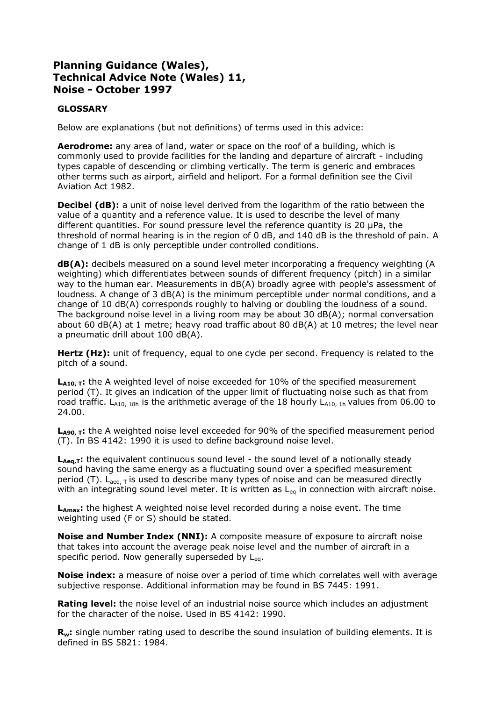## **GLOSSARY**

Below are explanations (but not definitions) of terms used in this advice:

**Aerodrome:** any area of land, water or space on the roof of a building, which is commonly used to provide facilities for the landing and departure of aircraft - including types capable of descending or climbing vertically. The term is generic and embraces other terms such as airport, airfield and heliport. For a formal definition see the Civil Aviation Act 1982.

**Decibel (dB):** a unit of noise level derived from the logarithm of the ratio between the value of a quantity and a reference value. It is used to describe the level of many different quantities. For sound pressure level the reference quantity is 20 µPa, the threshold of normal hearing is in the region of 0 dB, and 140 dB is the threshold of pain. A change of 1 dB is only perceptible under controlled conditions.

**dB(A):** decibels measured on a sound level meter incorporating a frequency weighting (A weighting) which differentiates between sounds of different frequency (pitch) in a similar way to the human ear. Measurements in dB(A) broadly agree with people's assessment of loudness. A change of 3 dB(A) is the minimum perceptible under normal conditions, and a change of 10 dB(A) corresponds roughly to halving or doubling the loudness of a sound. The background noise level in a living room may be about 30 dB(A); normal conversation about 60 dB(A) at 1 metre; heavy road traffic about 80 dB(A) at 10 metres; the level near a pneumatic drill about 100 dB(A).

Hertz (Hz): unit of frequency, equal to one cycle per second. Frequency is related to the pitch of a sound.

L<sub>A10, T</sub>: the A weighted level of noise exceeded for 10% of the specified measurement period (T). It gives an indication of the upper limit of fluctuating noise such as that from road traffic.  $L_{A10, 18h}$  is the arithmetic average of the 18 hourly  $L_{A10, 1h}$  values from 06.00 to 24.00.

L<sub>A90, T</sub>: the A weighted noise level exceeded for 90% of the specified measurement period (T). In BS 4142: 1990 it is used to define background noise level.

L<sub>Aeq.T</sub>: the equivalent continuous sound level - the sound level of a notionally steady sound having the same energy as a fluctuating sound over a specified measurement period (T).  $L_{\text{aeq, T}}$  is used to describe many types of noise and can be measured directly with an integrating sound level meter. It is written as  $L_{eq}$  in connection with aircraft noise.

**LAmax:** the highest A weighted noise level recorded during a noise event. The time weighting used (F or S) should be stated.

**Noise and Number Index (NNI):** A composite measure of exposure to aircraft noise that takes into account the average peak noise level and the number of aircraft in a specific period. Now generally superseded by  $L_{eq}$ .

**Noise index:** a measure of noise over a period of time which correlates well with average subjective response. Additional information may be found in BS 7445: 1991.

**Rating level:** the noise level of an industrial noise source which includes an adjustment for the character of the noise. Used in BS 4142: 1990.

**Rw:** single number rating used to describe the sound insulation of building elements. It is defined in BS 5821: 1984.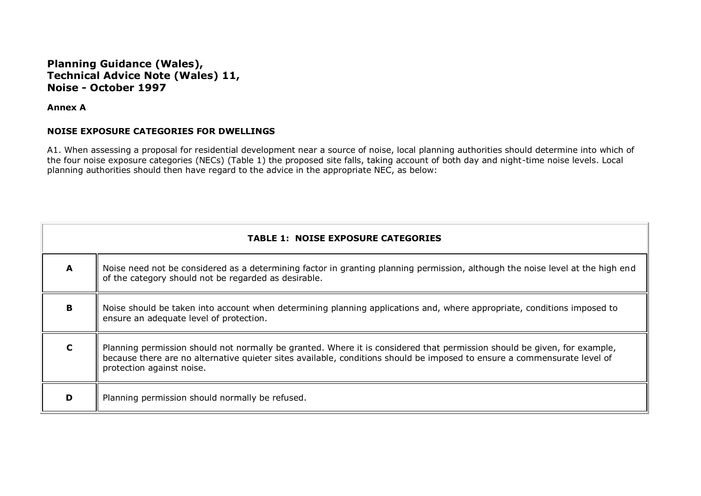**Annex A**

#### **NOISE EXPOSURE CATEGORIES FOR DWELLINGS**

A1. When assessing a proposal for residential development near a source of noise, local planning authorities should determine into which of the four noise exposure categories (NECs) (Table 1) the proposed site falls, taking account of both day and night-time noise levels. Local planning authorities should then have regard to the advice in the appropriate NEC, as below:

| <b>TABLE 1: NOISE EXPOSURE CATEGORIES</b> |                                                                                                                                                                                                                                                                                   |  |  |  |
|-------------------------------------------|-----------------------------------------------------------------------------------------------------------------------------------------------------------------------------------------------------------------------------------------------------------------------------------|--|--|--|
| A                                         | Noise need not be considered as a determining factor in granting planning permission, although the noise level at the high end<br>of the category should not be regarded as desirable.                                                                                            |  |  |  |
| B                                         | Noise should be taken into account when determining planning applications and, where appropriate, conditions imposed to<br>ensure an adequate level of protection.                                                                                                                |  |  |  |
| C                                         | Planning permission should not normally be granted. Where it is considered that permission should be given, for example,<br>because there are no alternative quieter sites available, conditions should be imposed to ensure a commensurate level of<br>protection against noise. |  |  |  |
| D                                         | Planning permission should normally be refused.                                                                                                                                                                                                                                   |  |  |  |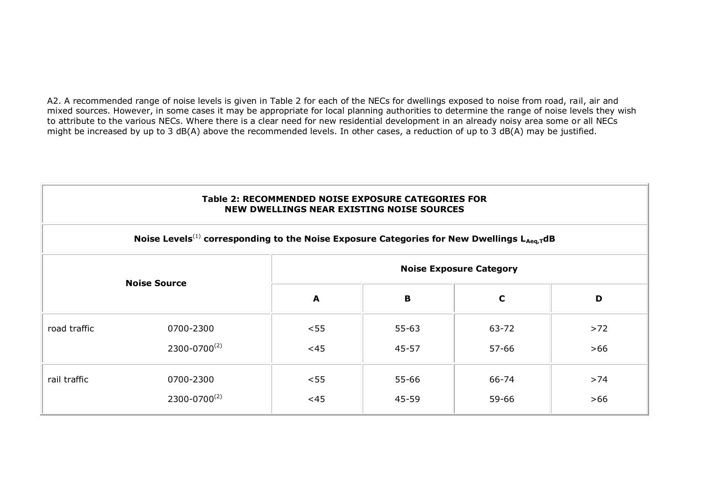A2. A recommended range of noise levels is given in Table 2 for each of the NECs for dwellings exposed to noise from road, rail, air and mixed sources. However, in some cases it may be appropriate for local planning authorities to determine the range of noise levels they wish to attribute to the various NECs. Where there is a clear need for new residential development in an already noisy area some or all NECs might be increased by up to 3 dB(A) above the recommended levels. In other cases, a reduction of up to 3 dB(A) may be justified.

| Table 2: RECOMMENDED NOISE EXPOSURE CATEGORIES FOR |
|----------------------------------------------------|
| NEW DWELLINGS NEAR EXISTING NOISE SOURCES          |

| Noise Levels <sup>(1)</sup> corresponding to the Noise Exposure Categories for New Dwellings L <sub>Aeq,T</sub> dB |                     |                                |           |             |       |
|--------------------------------------------------------------------------------------------------------------------|---------------------|--------------------------------|-----------|-------------|-------|
| <b>Noise Source</b>                                                                                                |                     | <b>Noise Exposure Category</b> |           |             |       |
|                                                                                                                    |                     | A                              | B         | $\mathbf c$ | D     |
| road traffic                                                                                                       | 0700-2300           | < 55                           | $55 - 63$ | 63-72       | $>72$ |
|                                                                                                                    | $2300 - 0700^{(2)}$ | <45                            | 45-57     | 57-66       | $>66$ |
| rail traffic                                                                                                       | 0700-2300           | < 55                           | 55-66     | 66-74       | $>74$ |
|                                                                                                                    | $2300 - 0700^{(2)}$ | <45                            | 45-59     | 59-66       | $>66$ |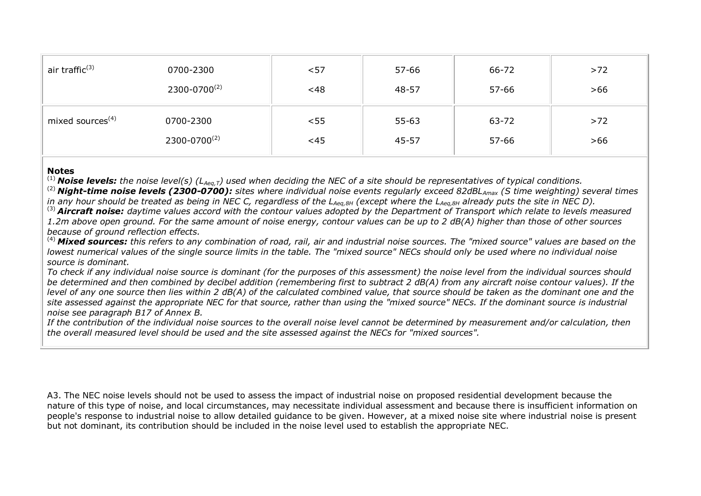| air traffic <sup>(3)</sup>   | 0700-2300           | $57$ | 57-66     | 66-72     | $>72$ |
|------------------------------|---------------------|------|-----------|-----------|-------|
|                              | $2300 - 0700^{(2)}$ | <48  | 48-57     | $57 - 66$ | $>66$ |
| mixed sources <sup>(4)</sup> | 0700-2300           | < 55 | $55 - 63$ | 63-72     | $>72$ |
|                              | $2300 - 0700^{(2)}$ | <45  | 45-57     | $57 - 66$ | $>66$ |

#### **Notes**

(1) *Noise levels: the noise level(s) (LAeq,T) used when deciding the NEC of a site should be representatives of typical conditions.*

(2) *Night-time noise levels (2300-0700): sites where individual noise events regularly exceed 82dBLAmax (S time weighting) several times in any hour should be treated as being in NEC C, regardless of the LAeq,8H (except where the LAeq,8H already puts the site in NEC D).*

(3) *Aircraft noise: daytime values accord with the contour values adopted by the Department of Transport which relate to levels measured 1.2m above open ground. For the same amount of noise energy, contour values can be up to 2 dB(A) higher than those of other sources because of ground reflection effects.*

(4) *Mixed sources: this refers to any combination of road, rail, air and industrial noise sources. The "mixed source" values are based on the lowest numerical values of the single source limits in the table. The "mixed source" NECs should only be used where no individual noise source is dominant.* 

*To check if any individual noise source is dominant (for the purposes of this assessment) the noise level from the individual sources should be determined and then combined by decibel addition (remembering first to subtract 2 dB(A) from any aircraft noise contour values). If the level of any one source then lies within 2 dB(A) of the calculated combined value, that source should be taken as the dominant one and the site assessed against the appropriate NEC for that source, rather than using the "mixed source" NECs. If the dominant source is industrial noise see paragraph B17 of Annex B.* 

*If the contribution of the individual noise sources to the overall noise level cannot be determined by measurement and/or calculation, then the overall measured level should be used and the site assessed against the NECs for "mixed sources".*

A3. The NEC noise levels should not be used to assess the impact of industrial noise on proposed residential development because the nature of this type of noise, and local circumstances, may necessitate individual assessment and because there is insufficient information on people's response to industrial noise to allow detailed guidance to be given. However, at a mixed noise site where industrial noise is present but not dominant, its contribution should be included in the noise level used to establish the appropriate NEC.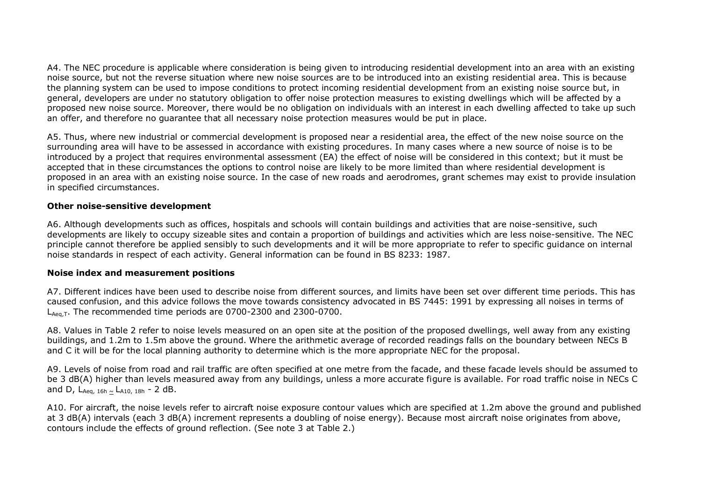A4. The NEC procedure is applicable where consideration is being given to introducing residential development into an area with an existing noise source, but not the reverse situation where new noise sources are to be introduced into an existing residential area. This is because the planning system can be used to impose conditions to protect incoming residential development from an existing noise source but, in general, developers are under no statutory obligation to offer noise protection measures to existing dwellings which will be affected by a proposed new noise source. Moreover, there would be no obligation on individuals with an interest in each dwelling affected to take up such an offer, and therefore no guarantee that all necessary noise protection measures would be put in place.

A5. Thus, where new industrial or commercial development is proposed near a residential area, the effect of the new noise source on the surrounding area will have to be assessed in accordance with existing procedures. In many cases where a new source of noise is to be introduced by a project that requires environmental assessment (EA) the effect of noise will be considered in this context; but it must be accepted that in these circumstances the options to control noise are likely to be more limited than where residential development is proposed in an area with an existing noise source. In the case of new roads and aerodromes, grant schemes may exist to provide insulation in specified circumstances.

#### **Other noise-sensitive development**

A6. Although developments such as offices, hospitals and schools will contain buildings and activities that are noise-sensitive, such developments are likely to occupy sizeable sites and contain a proportion of buildings and activities which are less noise-sensitive. The NEC principle cannot therefore be applied sensibly to such developments and it will be more appropriate to refer to specific guidance on internal noise standards in respect of each activity. General information can be found in BS 8233: 1987.

#### **Noise index and measurement positions**

A7. Different indices have been used to describe noise from different sources, and limits have been set over different time periods. This has caused confusion, and this advice follows the move towards consistency advocated in BS 7445: 1991 by expressing all noises in terms of  $\mathsf{L}_{\mathsf{Aeq}}$  T. The recommended time periods are 0700-2300 and 2300-0700.

A8. Values in Table 2 refer to noise levels measured on an open site at the position of the proposed dwellings, well away from any existing buildings, and 1.2m to 1.5m above the ground. Where the arithmetic average of recorded readings falls on the boundary between NECs B and C it will be for the local planning authority to determine which is the more appropriate NEC for the proposal.

A9. Levels of noise from road and rail traffic are often specified at one metre from the facade, and these facade levels should be assumed to be 3 dB(A) higher than levels measured away from any buildings, unless a more accurate figure is available. For road traffic noise in NECs C and D,  $L_{Aeq, 16h} \sim L_{A10, 18h} - 2$  dB.

A10. For aircraft, the noise levels refer to aircraft noise exposure contour values which are specified at 1.2m above the ground and published at 3 dB(A) intervals (each 3 dB(A) increment represents a doubling of noise energy). Because most aircraft noise originates from above, contours include the effects of ground reflection. (See note 3 at Table 2.)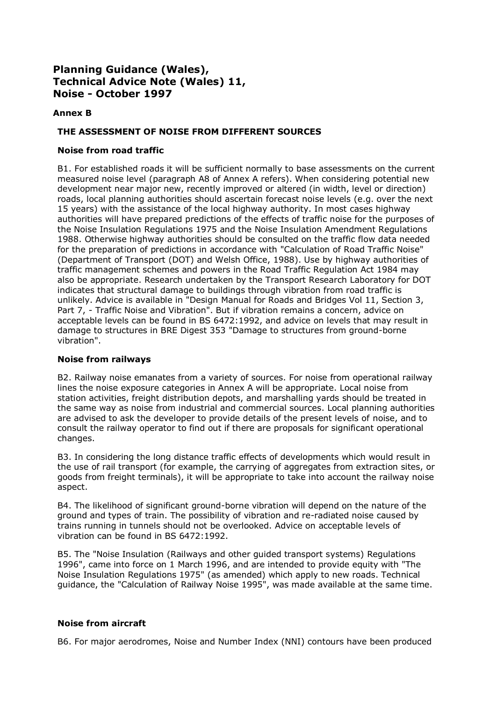## **Annex B**

#### **THE ASSESSMENT OF NOISE FROM DIFFERENT SOURCES**

#### **Noise from road traffic**

B1. For established roads it will be sufficient normally to base assessments on the current measured noise level (paragraph A8 of Annex A refers). When considering potential new development near major new, recently improved or altered (in width, level or direction) roads, local planning authorities should ascertain forecast noise levels (e.g. over the next 15 years) with the assistance of the local highway authority. In most cases highway authorities will have prepared predictions of the effects of traffic noise for the purposes of the Noise Insulation Regulations 1975 and the Noise Insulation Amendment Regulations 1988. Otherwise highway authorities should be consulted on the traffic flow data needed for the preparation of predictions in accordance with "Calculation of Road Traffic Noise" (Department of Transport (DOT) and Welsh Office, 1988). Use by highway authorities of traffic management schemes and powers in the Road Traffic Regulation Act 1984 may also be appropriate. Research undertaken by the Transport Research Laboratory for DOT indicates that structural damage to buildings through vibration from road traffic is unlikely. Advice is available in "Design Manual for Roads and Bridges Vol 11, Section 3, Part 7, - Traffic Noise and Vibration". But if vibration remains a concern, advice on acceptable levels can be found in BS 6472:1992, and advice on levels that may result in damage to structures in BRE Digest 353 "Damage to structures from ground-borne vibration".

#### **Noise from railways**

B2. Railway noise emanates from a variety of sources. For noise from operational railway lines the noise exposure categories in Annex A will be appropriate. Local noise from station activities, freight distribution depots, and marshalling yards should be treated in the same way as noise from industrial and commercial sources. Local planning authorities are advised to ask the developer to provide details of the present levels of noise, and to consult the railway operator to find out if there are proposals for significant operational changes.

B3. In considering the long distance traffic effects of developments which would result in the use of rail transport (for example, the carrying of aggregates from extraction sites, or goods from freight terminals), it will be appropriate to take into account the railway noise aspect.

B4. The likelihood of significant ground-borne vibration will depend on the nature of the ground and types of train. The possibility of vibration and re-radiated noise caused by trains running in tunnels should not be overlooked. Advice on acceptable levels of vibration can be found in BS 6472:1992.

B5. The "Noise Insulation (Railways and other guided transport systems) Regulations 1996", came into force on 1 March 1996, and are intended to provide equity with "The Noise Insulation Regulations 1975" (as amended) which apply to new roads. Technical guidance, the "Calculation of Railway Noise 1995", was made available at the same time.

## **Noise from aircraft**

B6. For major aerodromes, Noise and Number Index (NNI) contours have been produced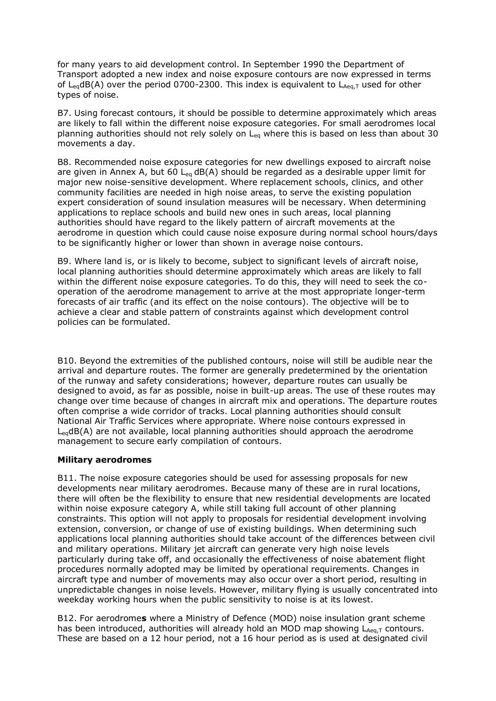for many years to aid development control. In September 1990 the Department of Transport adopted a new index and noise exposure contours are now expressed in terms of L<sub>ea</sub>dB(A) over the period 0700-2300. This index is equivalent to  $L_{Aea,T}$  used for other types of noise.

B7. Using forecast contours, it should be possible to determine approximately which areas are likely to fall within the different noise exposure categories. For small aerodromes local planning authorities should not rely solely on L<sub>eq</sub> where this is based on less than about 30 movements a day.

B8. Recommended noise exposure categories for new dwellings exposed to aircraft noise are given in Annex A, but 60  $L_{eq}$  dB(A) should be regarded as a desirable upper limit for major new noise-sensitive development. Where replacement schools, clinics, and other community facilities are needed in high noise areas, to serve the existing population expert consideration of sound insulation measures will be necessary. When determining applications to replace schools and build new ones in such areas, local planning authorities should have regard to the likely pattern of aircraft movements at the aerodrome in question which could cause noise exposure during normal school hours/days to be significantly higher or lower than shown in average noise contours.

B9. Where land is, or is likely to become, subject to significant levels of aircraft noise, local planning authorities should determine approximately which areas are likely to fall within the different noise exposure categories. To do this, they will need to seek the cooperation of the aerodrome management to arrive at the most appropriate longer-term forecasts of air traffic (and its effect on the noise contours). The objective will be to achieve a clear and stable pattern of constraints against which development control policies can be formulated.

B10. Beyond the extremities of the published contours, noise will still be audible near the arrival and departure routes. The former are generally predetermined by the orientation of the runway and safety considerations; however, departure routes can usually be designed to avoid, as far as possible, noise in built-up areas. The use of these routes may change over time because of changes in aircraft mix and operations. The departure routes often comprise a wide corridor of tracks. Local planning authorities should consult National Air Traffic Services where appropriate. Where noise contours expressed in LeqdB(A) are not available, local planning authorities should approach the aerodrome management to secure early compilation of contours.

#### **Military aerodromes**

B11. The noise exposure categories should be used for assessing proposals for new developments near military aerodromes. Because many of these are in rural locations, there will often be the flexibility to ensure that new residential developments are located within noise exposure category A, while still taking full account of other planning constraints. This option will not apply to proposals for residential development involving extension, conversion, or change of use of existing buildings. When determining such applications local planning authorities should take account of the differences between civil and military operations. Military jet aircraft can generate very high noise levels particularly during take off, and occasionally the effectiveness of noise abatement flight procedures normally adopted may be limited by operational requirements. Changes in aircraft type and number of movements may also occur over a short period, resulting in unpredictable changes in noise levels. However, military flying is usually concentrated into weekday working hours when the public sensitivity to noise is at its lowest.

B12. For aerodrome**s** where a Ministry of Defence (MOD) noise insulation grant scheme has been introduced, authorities will already hold an MOD map showing  $L_{Aeq,T}$  contours. These are based on a 12 hour period, not a 16 hour period as is used at designated civil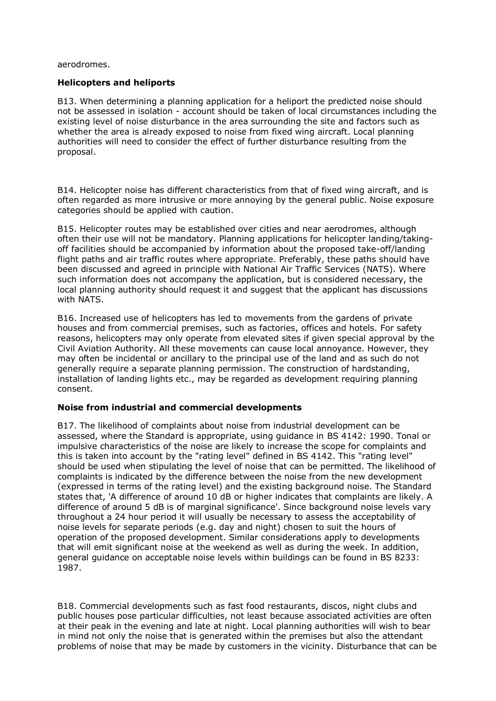aerodromes.

#### **Helicopters and heliports**

B13. When determining a planning application for a heliport the predicted noise should not be assessed in isolation - account should be taken of local circumstances including the existing level of noise disturbance in the area surrounding the site and factors such as whether the area is already exposed to noise from fixed wing aircraft. Local planning authorities will need to consider the effect of further disturbance resulting from the proposal.

B14. Helicopter noise has different characteristics from that of fixed wing aircraft, and is often regarded as more intrusive or more annoying by the general public. Noise exposure categories should be applied with caution.

B15. Helicopter routes may be established over cities and near aerodromes, although often their use will not be mandatory. Planning applications for helicopter landing/takingoff facilities should be accompanied by information about the proposed take-off/landing flight paths and air traffic routes where appropriate. Preferably, these paths should have been discussed and agreed in principle with National Air Traffic Services (NATS). Where such information does not accompany the application, but is considered necessary, the local planning authority should request it and suggest that the applicant has discussions with NATS.

B16. Increased use of helicopters has led to movements from the gardens of private houses and from commercial premises, such as factories, offices and hotels. For safety reasons, helicopters may only operate from elevated sites if given special approval by the Civil Aviation Authority. All these movements can cause local annoyance. However, they may often be incidental or ancillary to the principal use of the land and as such do not generally require a separate planning permission. The construction of hardstanding, installation of landing lights etc., may be regarded as development requiring planning consent.

#### **Noise from industrial and commercial developments**

B17. The likelihood of complaints about noise from industrial development can be assessed, where the Standard is appropriate, using guidance in BS 4142: 1990. Tonal or impulsive characteristics of the noise are likely to increase the scope for complaints and this is taken into account by the "rating level" defined in BS 4142. This "rating level" should be used when stipulating the level of noise that can be permitted. The likelihood of complaints is indicated by the difference between the noise from the new development (expressed in terms of the rating level) and the existing background noise. The Standard states that, 'A difference of around 10 dB or higher indicates that complaints are likely. A difference of around 5 dB is of marginal significance'. Since background noise levels vary throughout a 24 hour period it will usually be necessary to assess the acceptability of noise levels for separate periods (e.g. day and night) chosen to suit the hours of operation of the proposed development. Similar considerations apply to developments that will emit significant noise at the weekend as well as during the week. In addition, general guidance on acceptable noise levels within buildings can be found in BS 8233: 1987.

B18. Commercial developments such as fast food restaurants, discos, night clubs and public houses pose particular difficulties, not least because associated activities are often at their peak in the evening and late at night. Local planning authorities will wish to bear in mind not only the noise that is generated within the premises but also the attendant problems of noise that may be made by customers in the vicinity. Disturbance that can be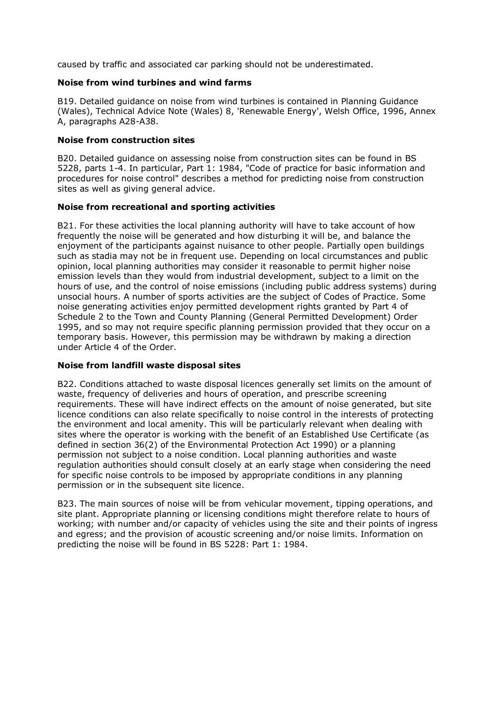caused by traffic and associated car parking should not be underestimated.

#### **Noise from wind turbines and wind farms**

B19. Detailed guidance on noise from wind turbines is contained in Planning Guidance (Wales), Technical Advice Note (Wales) 8, 'Renewable Energy', Welsh Office, 1996, Annex A, paragraphs A28-A38.

#### **Noise from construction sites**

B20. Detailed guidance on assessing noise from construction sites can be found in BS 5228, parts 1-4. In particular, Part 1: 1984, "Code of practice for basic information and procedures for noise control" describes a method for predicting noise from construction sites as well as giving general advice.

## **Noise from recreational and sporting activities**

B21. For these activities the local planning authority will have to take account of how frequently the noise will be generated and how disturbing it will be, and balance the enjoyment of the participants against nuisance to other people. Partially open buildings such as stadia may not be in frequent use. Depending on local circumstances and public opinion, local planning authorities may consider it reasonable to permit higher noise emission levels than they would from industrial development, subject to a limit on the hours of use, and the control of noise emissions (including public address systems) during unsocial hours. A number of sports activities are the subject of Codes of Practice. Some noise generating activities enjoy permitted development rights granted by Part 4 of Schedule 2 to the Town and County Planning (General Permitted Development) Order 1995, and so may not require specific planning permission provided that they occur on a temporary basis. However, this permission may be withdrawn by making a direction under Article 4 of the Order.

#### **Noise from landfill waste disposal sites**

B22. Conditions attached to waste disposal licences generally set limits on the amount of waste, frequency of deliveries and hours of operation, and prescribe screening requirements. These will have indirect effects on the amount of noise generated, but site licence conditions can also relate specifically to noise control in the interests of protecting the environment and local amenity. This will be particularly relevant when dealing with sites where the operator is working with the benefit of an Established Use Certificate (as defined in section 36(2) of the Environmental Protection Act 1990) or a planning permission not subject to a noise condition. Local planning authorities and waste regulation authorities should consult closely at an early stage when considering the need for specific noise controls to be imposed by appropriate conditions in any planning permission or in the subsequent site licence.

B23. The main sources of noise will be from vehicular movement, tipping operations, and site plant. Appropriate planning or licensing conditions might therefore relate to hours of working; with number and/or capacity of vehicles using the site and their points of ingress and egress; and the provision of acoustic screening and/or noise limits. Information on predicting the noise will be found in BS 5228: Part 1: 1984.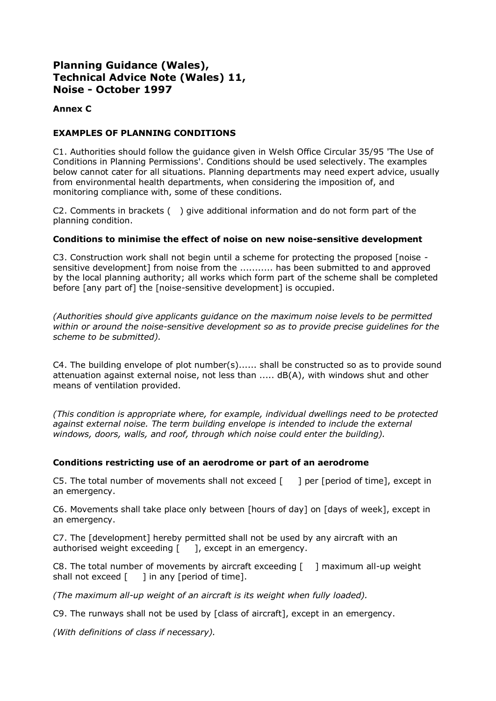## **Annex C**

## **EXAMPLES OF PLANNING CONDITIONS**

C1. Authorities should follow the guidance given in Welsh Office Circular 35/95 'The Use of Conditions in Planning Permissions'. Conditions should be used selectively. The examples below cannot cater for all situations. Planning departments may need expert advice, usually from environmental health departments, when considering the imposition of, and monitoring compliance with, some of these conditions.

C2. Comments in brackets ( ) give additional information and do not form part of the planning condition.

## **Conditions to minimise the effect of noise on new noise-sensitive development**

C3. Construction work shall not begin until a scheme for protecting the proposed [noise sensitive development] from noise from the ........... has been submitted to and approved by the local planning authority; all works which form part of the scheme shall be completed before [any part of] the [noise-sensitive development] is occupied.

*(Authorities should give applicants guidance on the maximum noise levels to be permitted within or around the noise-sensitive development so as to provide precise guidelines for the scheme to be submitted).*

C4. The building envelope of plot number(s)...... shall be constructed so as to provide sound attenuation against external noise, not less than ..... dB(A), with windows shut and other means of ventilation provided.

*(This condition is appropriate where, for example, individual dwellings need to be protected*  against external noise. The term building envelope is intended to include the external *windows, doors, walls, and roof, through which noise could enter the building).*

## **Conditions restricting use of an aerodrome or part of an aerodrome**

C5. The total number of movements shall not exceed  $\begin{bmatrix} 1 \\ 1 \end{bmatrix}$  per [period of time], except in an emergency.

C6. Movements shall take place only between [hours of day] on [days of week], except in an emergency.

C7. The [development] hereby permitted shall not be used by any aircraft with an authorised weight exceeding  $\begin{bmatrix} 1 \\ 2 \end{bmatrix}$ , except in an emergency.

C8. The total number of movements by aircraft exceeding [ ] maximum all-up weight shall not exceed  $\lceil \quad \rceil$  in any [period of time].

*(The maximum all-up weight of an aircraft is its weight when fully loaded).*

C9. The runways shall not be used by [class of aircraft], except in an emergency.

*(With definitions of class if necessary).*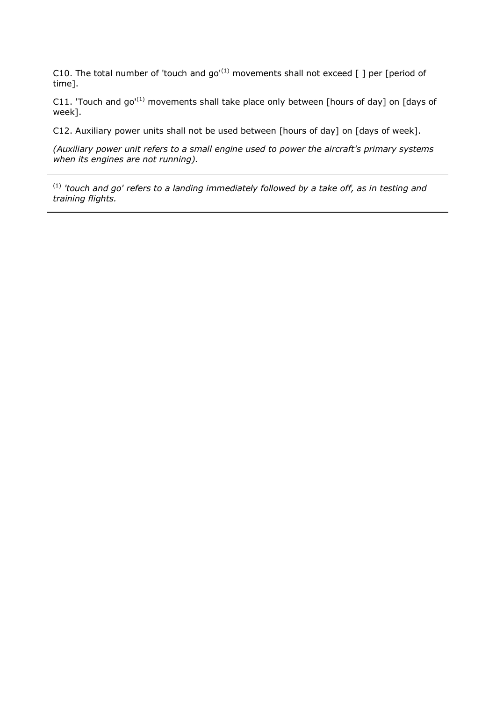C10. The total number of 'touch and  $go'(1)$  movements shall not exceed [ ] per [period of time].

C11. 'Touch and go'<sup>(1)</sup> movements shall take place only between [hours of day] on [days of week].

C12. Auxiliary power units shall not be used between [hours of day] on [days of week].

*(Auxiliary power unit refers to a small engine used to power the aircraft's primary systems when its engines are not running).*

(1) *'touch and go' refers to a landing immediately followed by a take off, as in testing and training flights.*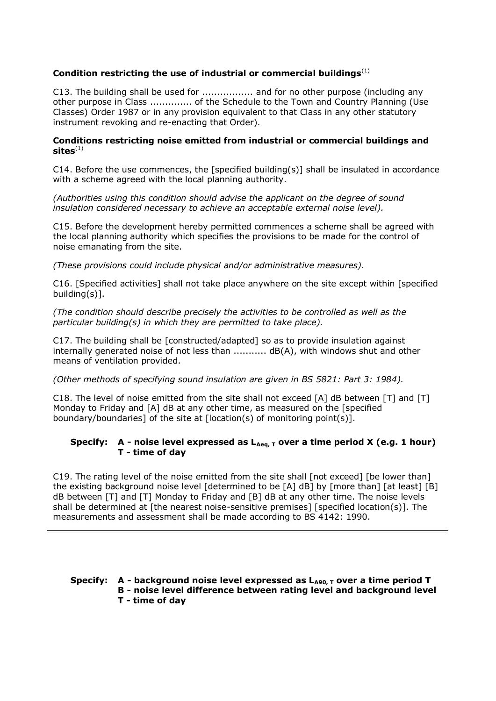## **Condition restricting the use of industrial or commercial buildings**(1)

C13. The building shall be used for ................. and for no other purpose (including any other purpose in Class .............. of the Schedule to the Town and Country Planning (Use Classes) Order 1987 or in any provision equivalent to that Class in any other statutory instrument revoking and re-enacting that Order).

#### **Conditions restricting noise emitted from industrial or commercial buildings and sites**(1)

C14. Before the use commences, the [specified building(s)] shall be insulated in accordance with a scheme agreed with the local planning authority.

*(Authorities using this condition should advise the applicant on the degree of sound insulation considered necessary to achieve an acceptable external noise level).*

C15. Before the development hereby permitted commences a scheme shall be agreed with the local planning authority which specifies the provisions to be made for the control of noise emanating from the site.

*(These provisions could include physical and/or administrative measures).*

C16. [Specified activities] shall not take place anywhere on the site except within [specified building(s)].

*(The condition should describe precisely the activities to be controlled as well as the particular building(s) in which they are permitted to take place).*

C17. The building shall be [constructed/adapted] so as to provide insulation against internally generated noise of not less than ........... dB(A), with windows shut and other means of ventilation provided.

*(Other methods of specifying sound insulation are given in BS 5821: Part 3: 1984).*

C18. The level of noise emitted from the site shall not exceed [A] dB between [T] and [T] Monday to Friday and [A] dB at any other time, as measured on the [specified boundary/boundaries] of the site at  $[location(s)]$  of monitoring point $(s)$ ].

#### Specify: A - noise level expressed as  $L_{Aeq, T}$  over a time period X (e.g. 1 hour) **T - time of day**

C19. The rating level of the noise emitted from the site shall [not exceed] [be lower than] the existing background noise level [determined to be [A] dB] by [more than] [at least] [B] dB between [T] and [T] Monday to Friday and [B] dB at any other time. The noise levels shall be determined at [the nearest noise-sensitive premises] [specified location(s)]. The measurements and assessment shall be made according to BS 4142: 1990.

## **Specify: A - background noise level expressed as LA90, T over a time period T B - noise level difference between rating level and background level**

**T - time of day**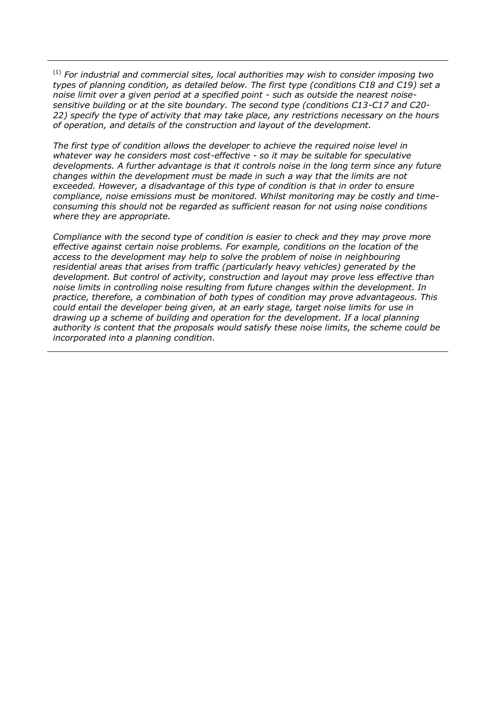(1) *For industrial and commercial sites, local authorities may wish to consider imposing two types of planning condition, as detailed below. The first type (conditions C18 and C19) set a noise limit over a given period at a specified point - such as outside the nearest noisesensitive building or at the site boundary. The second type (conditions C13-C17 and C20- 22) specify the type of activity that may take place, any restrictions necessary on the hours of operation, and details of the construction and layout of the development.* 

*The first type of condition allows the developer to achieve the required noise level in whatever way he considers most cost-effective - so it may be suitable for speculative developments. A further advantage is that it controls noise in the long term since any future changes within the development must be made in such a way that the limits are not exceeded. However, a disadvantage of this type of condition is that in order to ensure compliance, noise emissions must be monitored. Whilst monitoring may be costly and timeconsuming this should not be regarded as sufficient reason for not using noise conditions where they are appropriate.* 

*Compliance with the second type of condition is easier to check and they may prove more effective against certain noise problems. For example, conditions on the location of the*  access to the development may help to solve the problem of noise in neighbouring *residential areas that arises from traffic (particularly heavy vehicles) generated by the development. But control of activity, construction and layout may prove less effective than noise limits in controlling noise resulting from future changes within the development. In practice, therefore, a combination of both types of condition may prove advantageous. This could entail the developer being given, at an early stage, target noise limits for use in drawing up a scheme of building and operation for the development. If a local planning authority is content that the proposals would satisfy these noise limits, the scheme could be incorporated into a planning condition.*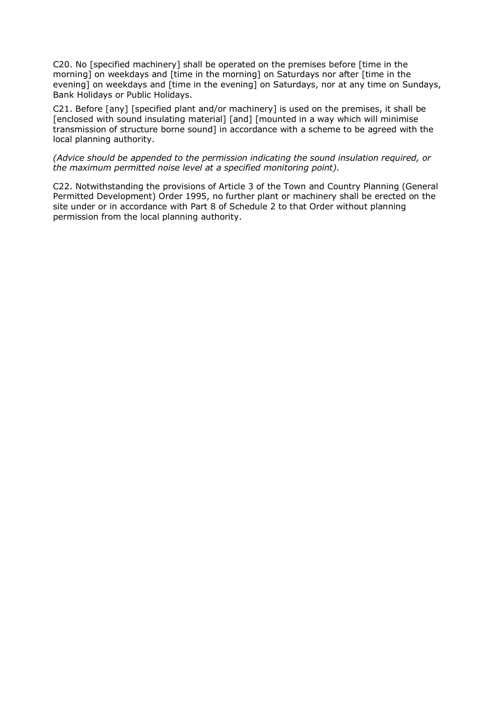C20. No [specified machinery] shall be operated on the premises before [time in the morning] on weekdays and [time in the morning] on Saturdays nor after [time in the evening] on weekdays and [time in the evening] on Saturdays, nor at any time on Sundays, Bank Holidays or Public Holidays.

C21. Before [any] [specified plant and/or machinery] is used on the premises, it shall be [enclosed with sound insulating material] [and] [mounted in a way which will minimise transmission of structure borne sound] in accordance with a scheme to be agreed with the local planning authority.

*(Advice should be appended to the permission indicating the sound insulation required, or the maximum permitted noise level at a specified monitoring point).*

C22. Notwithstanding the provisions of Article 3 of the Town and Country Planning (General Permitted Development) Order 1995, no further plant or machinery shall be erected on the site under or in accordance with Part 8 of Schedule 2 to that Order without planning permission from the local planning authority.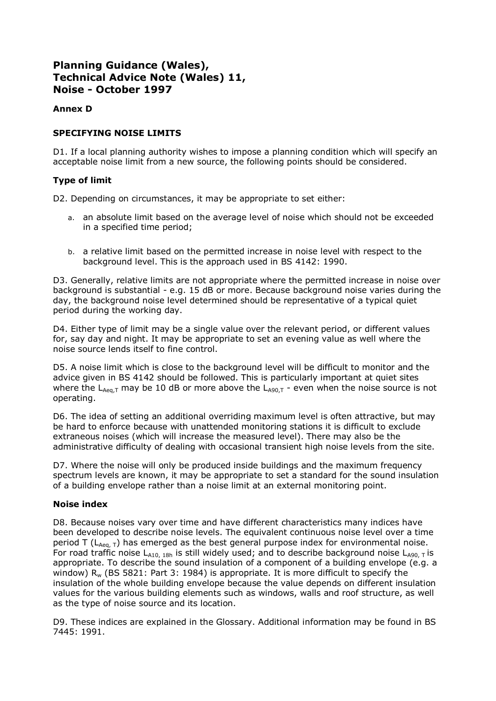## **Annex D**

## **SPECIFYING NOISE LIMITS**

D1. If a local planning authority wishes to impose a planning condition which will specify an acceptable noise limit from a new source, the following points should be considered.

## **Type of limit**

D2. Depending on circumstances, it may be appropriate to set either:

- a. an absolute limit based on the average level of noise which should not be exceeded in a specified time period;
- b. a relative limit based on the permitted increase in noise level with respect to the background level. This is the approach used in BS 4142: 1990.

D3. Generally, relative limits are not appropriate where the permitted increase in noise over background is substantial - e.g. 15 dB or more. Because background noise varies during the day, the background noise level determined should be representative of a typical quiet period during the working day.

D4. Either type of limit may be a single value over the relevant period, or different values for, say day and night. It may be appropriate to set an evening value as well where the noise source lends itself to fine control.

D5. A noise limit which is close to the background level will be difficult to monitor and the advice given in BS 4142 should be followed. This is particularly important at quiet sites where the  $L_{Aeq,T}$  may be 10 dB or more above the  $L_{A90,T}$  - even when the noise source is not operating.

D6. The idea of setting an additional overriding maximum level is often attractive, but may be hard to enforce because with unattended monitoring stations it is difficult to exclude extraneous noises (which will increase the measured level). There may also be the administrative difficulty of dealing with occasional transient high noise levels from the site.

D7. Where the noise will only be produced inside buildings and the maximum frequency spectrum levels are known, it may be appropriate to set a standard for the sound insulation of a building envelope rather than a noise limit at an external monitoring point.

#### **Noise index**

D8. Because noises vary over time and have different characteristics many indices have been developed to describe noise levels. The equivalent continuous noise level over a time period T ( $L_{Aea, T}$ ) has emerged as the best general purpose index for environmental noise. For road traffic noise  $L_{A10, 18h}$  is still widely used; and to describe background noise  $L_{A90, T}$  is appropriate. To describe the sound insulation of a component of a building envelope (e.g. a window)  $R_w$  (BS 5821: Part 3: 1984) is appropriate. It is more difficult to specify the insulation of the whole building envelope because the value depends on different insulation values for the various building elements such as windows, walls and roof structure, as well as the type of noise source and its location.

D9. These indices are explained in the Glossary. Additional information may be found in BS 7445: 1991.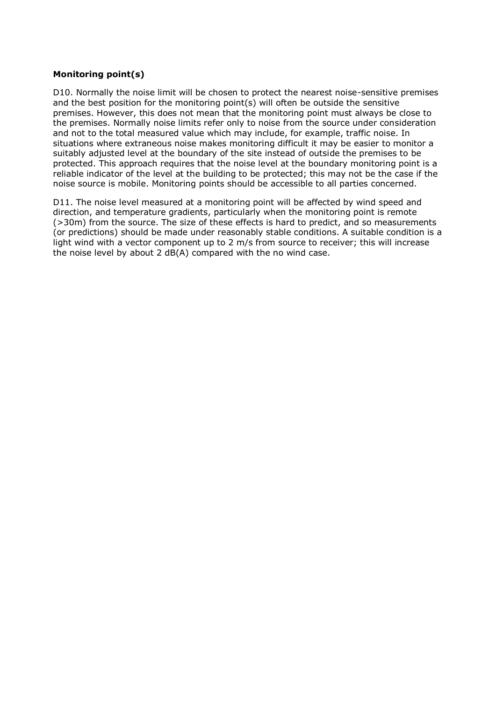## **Monitoring point(s)**

D10. Normally the noise limit will be chosen to protect the nearest noise-sensitive premises and the best position for the monitoring point(s) will often be outside the sensitive premises. However, this does not mean that the monitoring point must always be close to the premises. Normally noise limits refer only to noise from the source under consideration and not to the total measured value which may include, for example, traffic noise. In situations where extraneous noise makes monitoring difficult it may be easier to monitor a suitably adjusted level at the boundary of the site instead of outside the premises to be protected. This approach requires that the noise level at the boundary monitoring point is a reliable indicator of the level at the building to be protected; this may not be the case if the noise source is mobile. Monitoring points should be accessible to all parties concerned.

D11. The noise level measured at a monitoring point will be affected by wind speed and direction, and temperature gradients, particularly when the monitoring point is remote (>30m) from the source. The size of these effects is hard to predict, and so measurements (or predictions) should be made under reasonably stable conditions. A suitable condition is a light wind with a vector component up to 2 m/s from source to receiver; this will increase the noise level by about 2 dB(A) compared with the no wind case.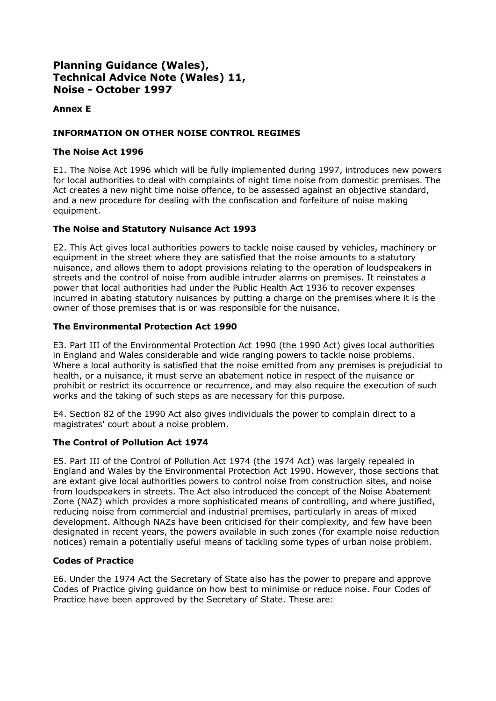## **Annex E**

## **INFORMATION ON OTHER NOISE CONTROL REGIMES**

## **The Noise Act 1996**

E1. The Noise Act 1996 which will be fully implemented during 1997, introduces new powers for local authorities to deal with complaints of night time noise from domestic premises. The Act creates a new night time noise offence, to be assessed against an objective standard, and a new procedure for dealing with the confiscation and forfeiture of noise making equipment.

## **The Noise and Statutory Nuisance Act 1993**

E2. This Act gives local authorities powers to tackle noise caused by vehicles, machinery or equipment in the street where they are satisfied that the noise amounts to a statutory nuisance, and allows them to adopt provisions relating to the operation of loudspeakers in streets and the control of noise from audible intruder alarms on premises. It reinstates a power that local authorities had under the Public Health Act 1936 to recover expenses incurred in abating statutory nuisances by putting a charge on the premises where it is the owner of those premises that is or was responsible for the nuisance.

## **The Environmental Protection Act 1990**

E3. Part III of the Environmental Protection Act 1990 (the 1990 Act) gives local authorities in England and Wales considerable and wide ranging powers to tackle noise problems. Where a local authority is satisfied that the noise emitted from any premises is prejudicial to health, or a nuisance, it must serve an abatement notice in respect of the nuisance or prohibit or restrict its occurrence or recurrence, and may also require the execution of such works and the taking of such steps as are necessary for this purpose.

E4. Section 82 of the 1990 Act also gives individuals the power to complain direct to a magistrates' court about a noise problem.

## **The Control of Pollution Act 1974**

E5. Part III of the Control of Pollution Act 1974 (the 1974 Act) was largely repealed in England and Wales by the Environmental Protection Act 1990. However, those sections that are extant give local authorities powers to control noise from construction sites, and noise from loudspeakers in streets. The Act also introduced the concept of the Noise Abatement Zone (NAZ) which provides a more sophisticated means of controlling, and where justified, reducing noise from commercial and industrial premises, particularly in areas of mixed development. Although NAZs have been criticised for their complexity, and few have been designated in recent years, the powers available in such zones (for example noise reduction notices) remain a potentially useful means of tackling some types of urban noise problem.

## **Codes of Practice**

E6. Under the 1974 Act the Secretary of State also has the power to prepare and approve Codes of Practice giving guidance on how best to minimise or reduce noise. Four Codes of Practice have been approved by the Secretary of State. These are: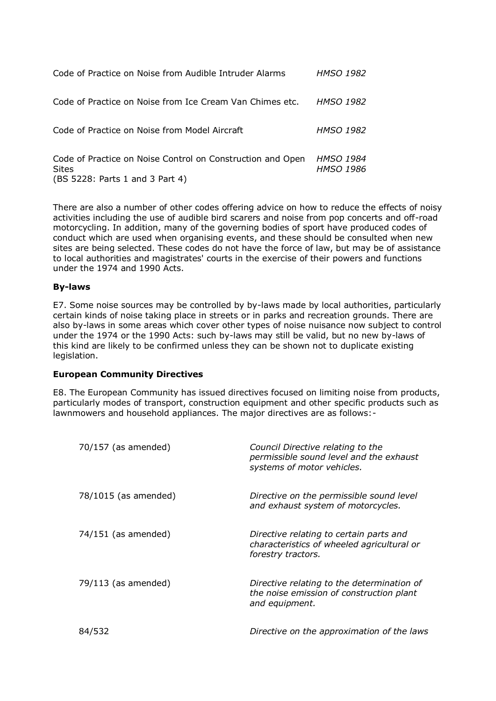| Code of Practice on Noise from Audible Intruder Alarms                                                 | HMSO 1982                     |
|--------------------------------------------------------------------------------------------------------|-------------------------------|
| Code of Practice on Noise from Ice Cream Van Chimes etc.                                               | HMSO 1982                     |
| Code of Practice on Noise from Model Aircraft                                                          | HMSO 1982                     |
| Code of Practice on Noise Control on Construction and Open<br>Sites<br>(BS 5228: Parts 1 and 3 Part 4) | <b>HMSO 1984</b><br>HMSO 1986 |

There are also a number of other codes offering advice on how to reduce the effects of noisy activities including the use of audible bird scarers and noise from pop concerts and off-road motorcycling. In addition, many of the governing bodies of sport have produced codes of conduct which are used when organising events, and these should be consulted when new sites are being selected. These codes do not have the force of law, but may be of assistance to local authorities and magistrates' courts in the exercise of their powers and functions under the 1974 and 1990 Acts.

#### **By-laws**

E7. Some noise sources may be controlled by by-laws made by local authorities, particularly certain kinds of noise taking place in streets or in parks and recreation grounds. There are also by-laws in some areas which cover other types of noise nuisance now subject to control under the 1974 or the 1990 Acts: such by-laws may still be valid, but no new by-laws of this kind are likely to be confirmed unless they can be shown not to duplicate existing legislation.

#### **European Community Directives**

E8. The European Community has issued directives focused on limiting noise from products, particularly modes of transport, construction equipment and other specific products such as lawnmowers and household appliances. The major directives are as follows:-

| 70/157 (as amended)  | Council Directive relating to the<br>permissible sound level and the exhaust<br>systems of motor vehicles.  |
|----------------------|-------------------------------------------------------------------------------------------------------------|
| 78/1015 (as amended) | Directive on the permissible sound level<br>and exhaust system of motorcycles.                              |
| 74/151 (as amended)  | Directive relating to certain parts and<br>characteristics of wheeled agricultural or<br>forestry tractors. |
| 79/113 (as amended)  | Directive relating to the determination of<br>the noise emission of construction plant<br>and equipment.    |
| 84/532               | Directive on the approximation of the laws                                                                  |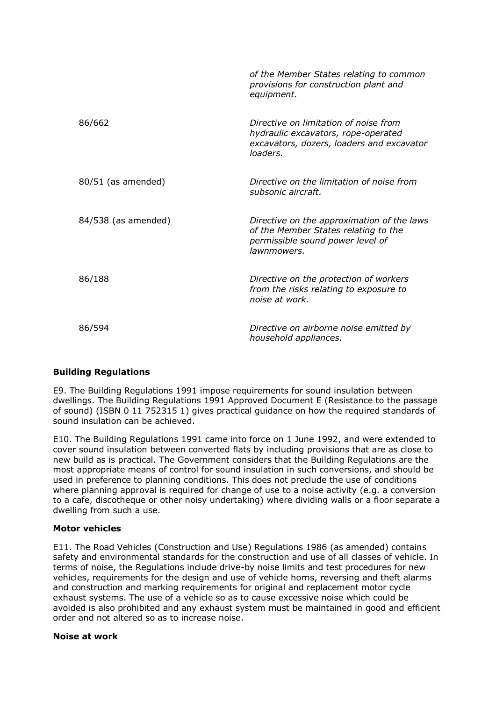|                     | of the Member States relating to common<br>provisions for construction plant and<br>equipment.                                        |
|---------------------|---------------------------------------------------------------------------------------------------------------------------------------|
| 86/662              | Directive on limitation of noise from<br>hydraulic excavators, rope-operated<br>excavators, dozers, loaders and excavator<br>loaders. |
| 80/51 (as amended)  | Directive on the limitation of noise from<br>subsonic aircraft.                                                                       |
| 84/538 (as amended) | Directive on the approximation of the laws<br>of the Member States relating to the<br>permissible sound power level of<br>lawnmowers. |
| 86/188              | Directive on the protection of workers<br>from the risks relating to exposure to<br>noise at work.                                    |
| 86/594              | Directive on airborne noise emitted by<br>household appliances.                                                                       |

## **Building Regulations**

E9. The Building Regulations 1991 impose requirements for sound insulation between dwellings. The Building Regulations 1991 Approved Document E (Resistance to the passage of sound) (ISBN 0 11 752315 1) gives practical guidance on how the required standards of sound insulation can be achieved.

E10. The Building Regulations 1991 came into force on 1 June 1992, and were extended to cover sound insulation between converted flats by including provisions that are as close to new build as is practical. The Government considers that the Building Regulations are the most appropriate means of control for sound insulation in such conversions, and should be used in preference to planning conditions. This does not preclude the use of conditions where planning approval is required for change of use to a noise activity (e.g. a conversion to a cafe, discotheque or other noisy undertaking) where dividing walls or a floor separate a dwelling from such a use.

## **Motor vehicles**

E11. The Road Vehicles (Construction and Use) Regulations 1986 (as amended) contains safety and environmental standards for the construction and use of all classes of vehicle. In terms of noise, the Regulations include drive-by noise limits and test procedures for new vehicles, requirements for the design and use of vehicle horns, reversing and theft alarms and construction and marking requirements for original and replacement motor cycle exhaust systems. The use of a vehicle so as to cause excessive noise which could be avoided is also prohibited and any exhaust system must be maintained in good and efficient order and not altered so as to increase noise.

#### **Noise at work**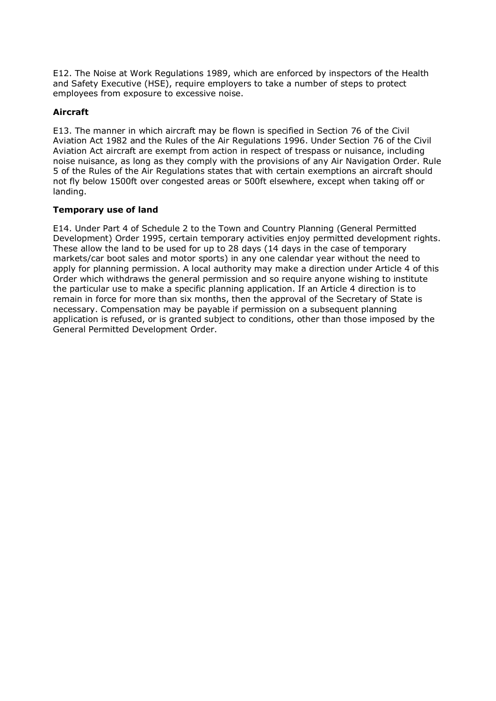E12. The Noise at Work Regulations 1989, which are enforced by inspectors of the Health and Safety Executive (HSE), require employers to take a number of steps to protect employees from exposure to excessive noise.

## **Aircraft**

E13. The manner in which aircraft may be flown is specified in Section 76 of the Civil Aviation Act 1982 and the Rules of the Air Regulations 1996. Under Section 76 of the Civil Aviation Act aircraft are exempt from action in respect of trespass or nuisance, including noise nuisance, as long as they comply with the provisions of any Air Navigation Order. Rule 5 of the Rules of the Air Regulations states that with certain exemptions an aircraft should not fly below 1500ft over congested areas or 500ft elsewhere, except when taking off or landing.

## **Temporary use of land**

E14. Under Part 4 of Schedule 2 to the Town and Country Planning (General Permitted Development) Order 1995, certain temporary activities enjoy permitted development rights. These allow the land to be used for up to 28 days (14 days in the case of temporary markets/car boot sales and motor sports) in any one calendar year without the need to apply for planning permission. A local authority may make a direction under Article 4 of this Order which withdraws the general permission and so require anyone wishing to institute the particular use to make a specific planning application. If an Article 4 direction is to remain in force for more than six months, then the approval of the Secretary of State is necessary. Compensation may be payable if permission on a subsequent planning application is refused, or is granted subject to conditions, other than those imposed by the General Permitted Development Order.